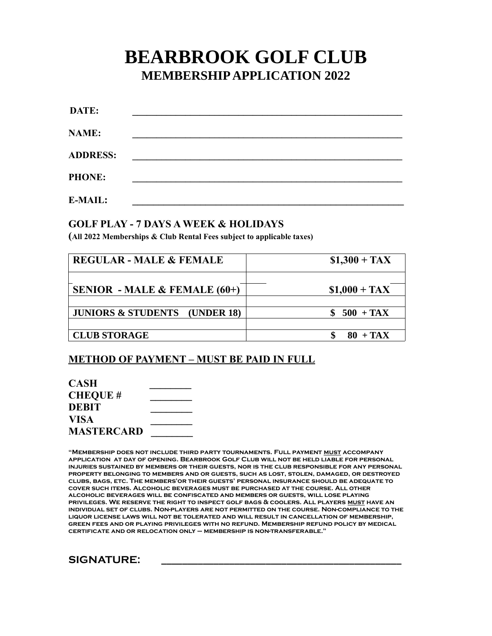## **BEARBROOK GOLF CLUB MEMBERSHIP APPLICATION 2022**

| DATE:           |  |  |  |
|-----------------|--|--|--|
| NAME:           |  |  |  |
| <b>ADDRESS:</b> |  |  |  |
| <b>PHONE:</b>   |  |  |  |
| <b>E-MAIL:</b>  |  |  |  |

## **GOLF PLAY - 7 DAYS A WEEK & HOLIDAYS**

**(All 2022 Memberships & Club Rental Fees subject to applicable taxes)**

| <b>REGULAR - MALE &amp; FEMALE</b>       | $$1,300 + TAX$ |  |
|------------------------------------------|----------------|--|
| SENIOR - MALE & FEMALE $(60+)$           | $$1,000 + TAX$ |  |
| <b>JUNIORS &amp; STUDENTS</b> (UNDER 18) | $500 + TAX$    |  |
|                                          |                |  |
| <b>CLUB STORAGE</b>                      | $80 + TAX$     |  |

## **METHOD OF PAYMENT – MUST BE PAID IN FULL**

| CASH              |  |
|-------------------|--|
| <b>CHEQUE #</b>   |  |
| <b>DEBIT</b>      |  |
| VISA              |  |
| <b>MASTERCARD</b> |  |

**"Membership does not include third party tournaments. Full payment must accompany application at day of opening. Bearbrook Golf Club will not be held liable for personal injuries sustained by members or their guests, nor is the club responsible for any personal property belonging to members and or guests, such as lost, stolen, damaged, or destroyed clubs, bags, etc. The members'or their guests' personal insurance should be adequate to cover such items. Alcoholic beverages must be purchased at the course. All other alcoholic beverages will be confiscated and members or guests, will lose playing privileges. We reserve the right to inspect golf bags & coolers. All players must have an individual set of clubs. Non-players are not permitted on the course. Non-compliance to the liquor license laws will not be tolerated and will result in cancellation of membership, green fees and or playing privileges with no refund. Membership refund policy by medical certificate and or relocation only – membership is non-transferable."**

**SIGNATURE: \_\_\_\_\_\_\_\_\_\_\_\_\_\_\_\_\_\_\_\_\_\_\_\_\_\_\_\_\_\_\_\_\_\_\_\_\_\_\_\_\_\_\_\_\_\_**